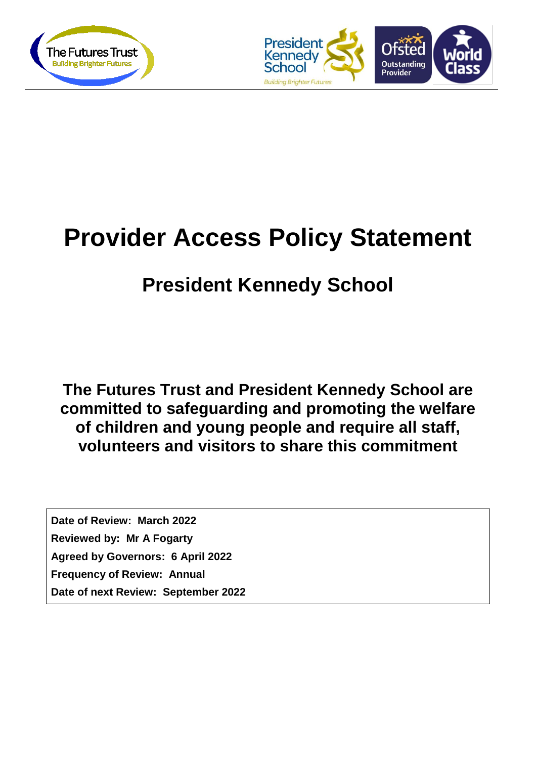



# **Provider Access Policy Statement**

# **President Kennedy School**

**The Futures Trust and President Kennedy School are committed to safeguarding and promoting the welfare of children and young people and require all staff, volunteers and visitors to share this commitment**

**Date of Review: March 2022 Reviewed by: Mr A Fogarty Agreed by Governors: 6 April 2022 Frequency of Review: Annual Date of next Review: September 2022**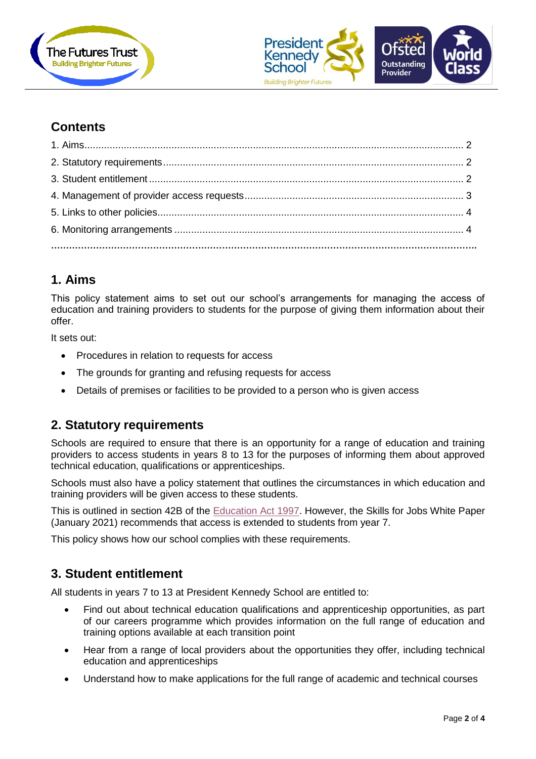



# **Contents**

# <span id="page-1-0"></span>**1. Aims**

This policy statement aims to set out our school's arrangements for managing the access of education and training providers to students for the purpose of giving them information about their offer.

It sets out:

- Procedures in relation to requests for access
- The grounds for granting and refusing requests for access
- Details of premises or facilities to be provided to a person who is given access

# <span id="page-1-1"></span>**2. Statutory requirements**

Schools are required to ensure that there is an opportunity for a range of education and training providers to access students in years 8 to 13 for the purposes of informing them about approved technical education, qualifications or apprenticeships.

Schools must also have a policy statement that outlines the circumstances in which education and training providers will be given access to these students.

This is outlined in section 42B of the [Education Act 1997.](https://www.legislation.gov.uk/ukpga/1997/44/section/42B) However, the Skills for Jobs White Paper (January 2021) recommends that access is extended to students from year 7.

This policy shows how our school complies with these requirements.

# <span id="page-1-2"></span>**3. Student entitlement**

All students in years 7 to 13 at President Kennedy School are entitled to:

- Find out about technical education qualifications and apprenticeship opportunities, as part of our careers programme which provides information on the full range of education and training options available at each transition point
- Hear from a range of local providers about the opportunities they offer, including technical education and apprenticeships
- Understand how to make applications for the full range of academic and technical courses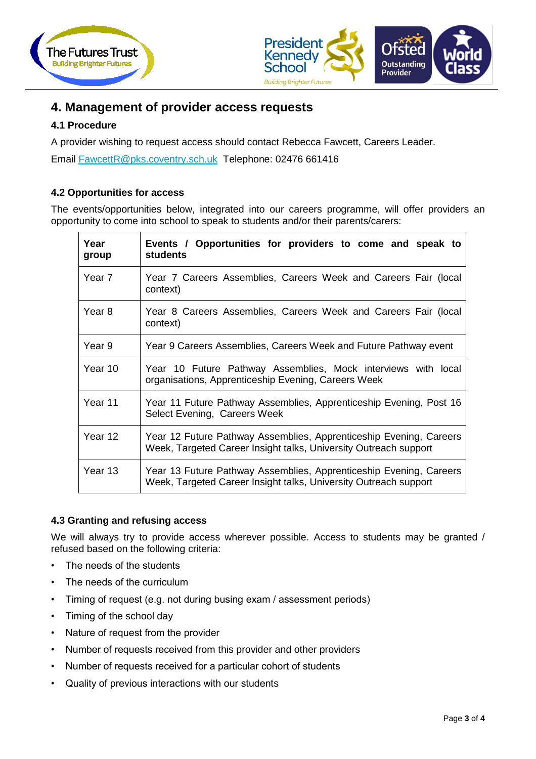



# <span id="page-2-0"></span>**4. Management of provider access requests**

#### **4.1 Procedure**

A provider wishing to request access should contact Rebecca Fawcett, Careers Leader.

Email [FawcettR@pks.coventry.sch.uk](mailto:FawcettR@pks.coventry.sch.uk) Telephone: 02476 661416

#### **4.2 Opportunities for access**

The events/opportunities below, integrated into our careers programme, will offer providers an opportunity to come into school to speak to students and/or their parents/carers:

| Year<br>group | Events / Opportunities for providers to come and speak to<br><b>students</b>                                                           |
|---------------|----------------------------------------------------------------------------------------------------------------------------------------|
| Year 7        | Year 7 Careers Assemblies, Careers Week and Careers Fair (local<br>context)                                                            |
| Year 8        | Year 8 Careers Assemblies, Careers Week and Careers Fair (local<br>context)                                                            |
| Year 9        | Year 9 Careers Assemblies, Careers Week and Future Pathway event                                                                       |
| Year 10       | Year 10 Future Pathway Assemblies, Mock interviews with local<br>organisations, Apprenticeship Evening, Careers Week                   |
| Year 11       | Year 11 Future Pathway Assemblies, Apprenticeship Evening, Post 16<br>Select Evening, Careers Week                                     |
| Year 12       | Year 12 Future Pathway Assemblies, Apprenticeship Evening, Careers<br>Week, Targeted Career Insight talks, University Outreach support |
| Year 13       | Year 13 Future Pathway Assemblies, Apprenticeship Evening, Careers<br>Week, Targeted Career Insight talks, University Outreach support |

#### **4.3 Granting and refusing access**

We will always try to provide access wherever possible. Access to students may be granted / refused based on the following criteria:

- The needs of the students
- The needs of the curriculum
- Timing of request (e.g. not during busing exam / assessment periods)
- Timing of the school day
- Nature of request from the provider
- Number of requests received from this provider and other providers
- Number of requests received for a particular cohort of students
- Quality of previous interactions with our students